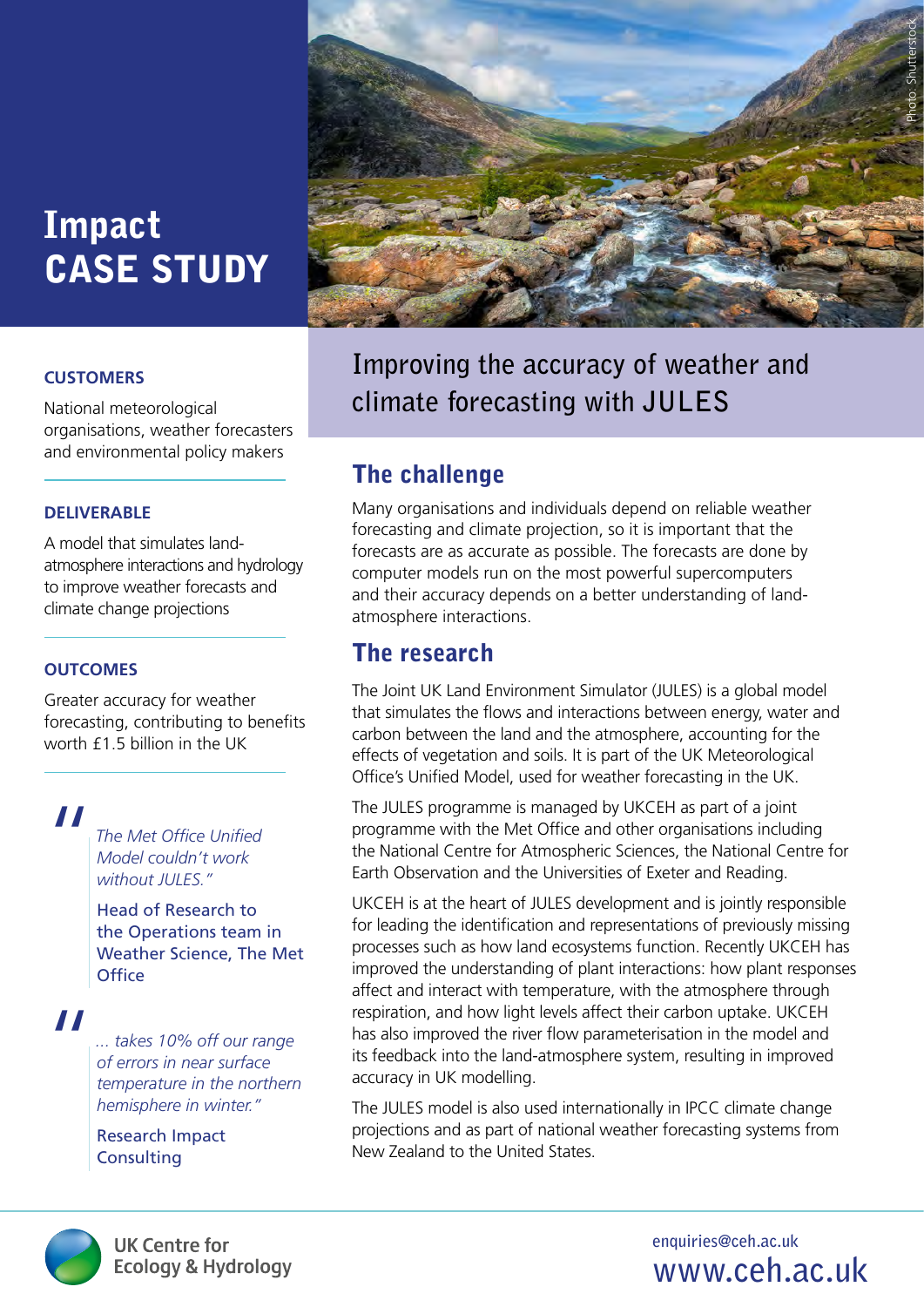# Impact CASE STUDY

#### **CUSTOMERS**

National meteorological organisations, weather forecasters and environmental policy makers

#### **DELIVERABLE**

A model that simulates landatmosphere interactions and hydrology to improve weather forecasts and climate change projections

#### **OUTCOMES**

Greater accuracy for weather forecasting, contributing to benefits worth £1.5 billion in the UK

## "

*The Met Office Unified Model couldn't work without JULES."*

Head of Research to the Operations team in Weather Science, The Met **Office** 

## "

*... takes 10% off our range of errors in near surface temperature in the northern hemisphere in winter."*

Research Impact **Consulting** 



**Improving the accuracy of weather and climate forecasting with JULES**

## The challenge

Many organisations and individuals depend on reliable weather forecasting and climate projection, so it is important that the forecasts are as accurate as possible. The forecasts are done by computer models run on the most powerful supercomputers and their accuracy depends on a better understanding of landatmosphere interactions.

#### The research

The Joint UK Land Environment Simulator (JULES) is a global model that simulates the flows and interactions between energy, water and carbon between the land and the atmosphere, accounting for the effects of vegetation and soils. It is part of the UK Meteorological Office's Unified Model, used for weather forecasting in the UK.

The JULES programme is managed by UKCEH as part of a joint programme with the Met Office and other organisations including the National Centre for Atmospheric Sciences, the National Centre for Earth Observation and the Universities of Exeter and Reading.

UKCEH is at the heart of JULES development and is jointly responsible for leading the identification and representations of previously missing processes such as how land ecosystems function. Recently UKCEH has improved the understanding of plant interactions: how plant responses affect and interact with temperature, with the atmosphere through respiration, and how light levels affect their carbon uptake. UKCEH has also improved the river flow parameterisation in the model and its feedback into the land-atmosphere system, resulting in improved accuracy in UK modelling.

The JULES model is also used internationally in IPCC climate change projections and as part of national weather forecasting systems from New Zealand to the United States.



**UK Centre for Ecology & Hydrology**  **enquiries@ceh.ac.uk www.ceh.ac.uk**